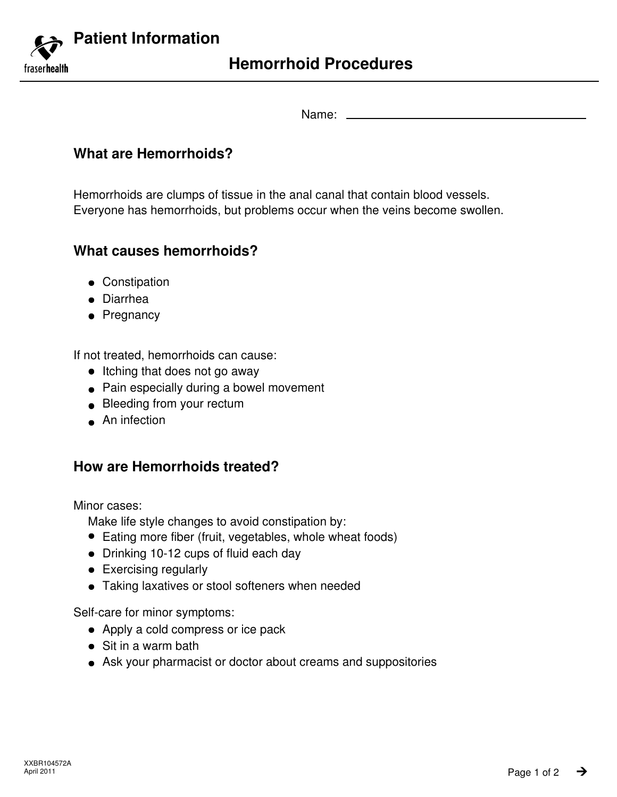

Name:

# **What are Hemorrhoids?**

Hemorrhoids are clumps of tissue in the anal canal that contain blood vessels. Everyone has hemorrhoids, but problems occur when the veins become swollen.

# **What causes hemorrhoids?**

- Constipation
- Diarrhea
- Pregnancy

If not treated, hemorrhoids can cause:

- Itching that does not go away
- Pain especially during a bowel movement
- Bleeding from your rectum
- An infection

# **How are Hemorrhoids treated?**

Minor cases:

Make life style changes to avoid constipation by:

- Eating more fiber (fruit, vegetables, whole wheat foods)
- Drinking 10-12 cups of fluid each day
- **•** Exercising regularly
- Taking laxatives or stool softeners when needed

Self-care for minor symptoms:

- Apply a cold compress or ice pack
- Sit in a warm bath
- Ask your pharmacist or doctor about creams and suppositories